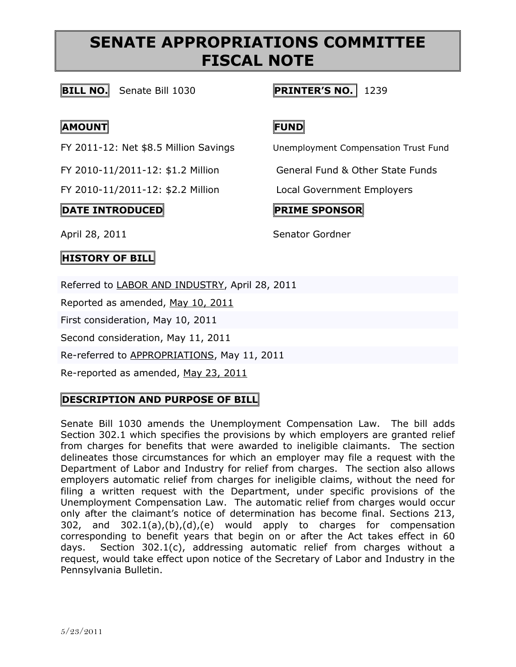### **BILL NO.** Senate Bill 1030 **PRINTER'S NO.** 1239

## **AMOUNT FUND**

FY 2010-11/2011-12: \$2.2 Million Local Government Employers

## **DATE INTRODUCED PRIME SPONSOR**

FY 2011-12: Net \$8.5 Million Savings Unemployment Compensation Trust Fund

FY 2010-11/2011-12: \$1.2 Million General Fund & Other State Funds

### April 28, 2011 Senator Gordner

## **HISTORY OF BILL**

Referred to [LABOR AND INDUSTRY,](http://www.legis.state.pa.us/cfdocs/cteeInfo/cteeInfo.cfm?cde=13&body=S) April 28, 2011

Reported as amended, May 10, [2011](http://www.legis.state.pa.us/cfdocs/legis/RCC/PUBLIC/listVotes.cfm?sYear=2011&sInd=0&chamber=S&cteeCde=13&nbr=1030&bBody=S&type=B&theDate=05/10/2011)

First consideration, May 10, 2011

Second consideration, May 11, 2011

Re-referred to [APPROPRIATIONS,](http://www.legis.state.pa.us/cfdocs/cteeInfo/cteeInfo.cfm?cde=3&body=S) May 11, 2011

Re-reported as amended, May 23, [2011](http://www.legis.state.pa.us/cfdocs/legis/RCC/PUBLIC/listVotes.cfm?sYear=2011&sInd=0&chamber=S&cteeCde=3&nbr=1030&bBody=S&type=B&theDate=05/23/2011)

## **DESCRIPTION AND PURPOSE OF BILL**

Senate Bill 1030 amends the Unemployment Compensation Law. The bill adds Section 302.1 which specifies the provisions by which employers are granted relief from charges for benefits that were awarded to ineligible claimants. The section delineates those circumstances for which an employer may file a request with the Department of Labor and Industry for relief from charges. The section also allows employers automatic relief from charges for ineligible claims, without the need for filing a written request with the Department, under specific provisions of the Unemployment Compensation Law. The automatic relief from charges would occur only after the claimant's notice of determination has become final. Sections 213, 302, and 302.1(a),(b),(d),(e) would apply to charges for compensation corresponding to benefit years that begin on or after the Act takes effect in 60 days. Section 302.1(c), addressing automatic relief from charges without a request, would take effect upon notice of the Secretary of Labor and Industry in the Pennsylvania Bulletin.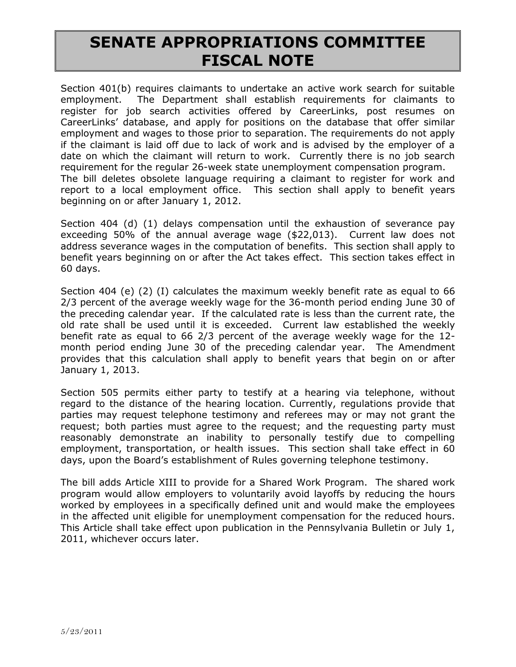Section 401(b) requires claimants to undertake an active work search for suitable employment. The Department shall establish requirements for claimants to register for job search activities offered by CareerLinks, post resumes on CareerLinks" database, and apply for positions on the database that offer similar employment and wages to those prior to separation. The requirements do not apply if the claimant is laid off due to lack of work and is advised by the employer of a date on which the claimant will return to work. Currently there is no job search requirement for the regular 26-week state unemployment compensation program. The bill deletes obsolete language requiring a claimant to register for work and report to a local employment office. This section shall apply to benefit years beginning on or after January 1, 2012.

Section 404 (d) (1) delays compensation until the exhaustion of severance pay exceeding 50% of the annual average wage (\$22,013). Current law does not address severance wages in the computation of benefits. This section shall apply to benefit years beginning on or after the Act takes effect. This section takes effect in 60 days.

Section 404 (e) (2) (I) calculates the maximum weekly benefit rate as equal to 66 2/3 percent of the average weekly wage for the 36-month period ending June 30 of the preceding calendar year. If the calculated rate is less than the current rate, the old rate shall be used until it is exceeded. Current law established the weekly benefit rate as equal to 66 2/3 percent of the average weekly wage for the 12 month period ending June 30 of the preceding calendar year. The Amendment provides that this calculation shall apply to benefit years that begin on or after January 1, 2013.

Section 505 permits either party to testify at a hearing via telephone, without regard to the distance of the hearing location. Currently, regulations provide that parties may request telephone testimony and referees may or may not grant the request; both parties must agree to the request; and the requesting party must reasonably demonstrate an inability to personally testify due to compelling employment, transportation, or health issues. This section shall take effect in 60 days, upon the Board"s establishment of Rules governing telephone testimony.

The bill adds Article XIII to provide for a Shared Work Program. The shared work program would allow employers to voluntarily avoid layoffs by reducing the hours worked by employees in a specifically defined unit and would make the employees in the affected unit eligible for unemployment compensation for the reduced hours. This Article shall take effect upon publication in the Pennsylvania Bulletin or July 1, 2011, whichever occurs later.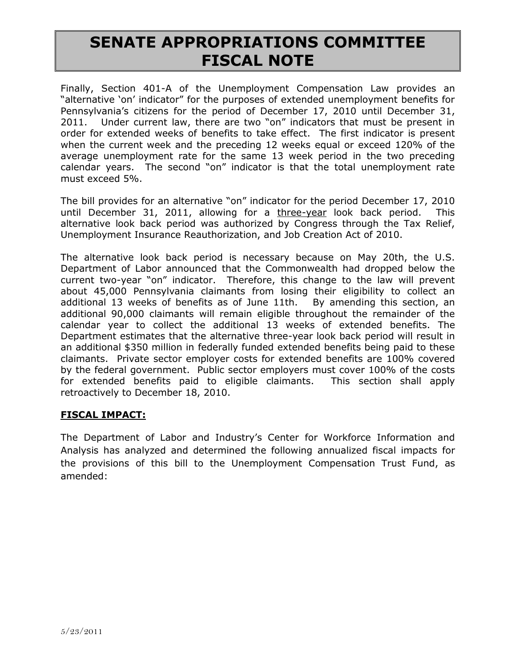Finally, Section 401-A of the Unemployment Compensation Law provides an "alternative "on" indicator" for the purposes of extended unemployment benefits for Pennsylvania's citizens for the period of December 17, 2010 until December 31, 2011. Under current law, there are two "on" indicators that must be present in order for extended weeks of benefits to take effect. The first indicator is present when the current week and the preceding 12 weeks equal or exceed 120% of the average unemployment rate for the same 13 week period in the two preceding calendar years. The second "on" indicator is that the total unemployment rate must exceed 5%.

The bill provides for an alternative "on" indicator for the period December 17, 2010 until December 31, 2011, allowing for a three-year look back period. This alternative look back period was authorized by Congress through the Tax Relief, Unemployment Insurance Reauthorization, and Job Creation Act of 2010.

The alternative look back period is necessary because on May 20th, the U.S. Department of Labor announced that the Commonwealth had dropped below the current two-year "on" indicator. Therefore, this change to the law will prevent about 45,000 Pennsylvania claimants from losing their eligibility to collect an additional 13 weeks of benefits as of June 11th. By amending this section, an additional 90,000 claimants will remain eligible throughout the remainder of the calendar year to collect the additional 13 weeks of extended benefits. The Department estimates that the alternative three-year look back period will result in an additional \$350 million in federally funded extended benefits being paid to these claimants. Private sector employer costs for extended benefits are 100% covered by the federal government. Public sector employers must cover 100% of the costs for extended benefits paid to eligible claimants. This section shall apply retroactively to December 18, 2010.

#### **FISCAL IMPACT:**

The Department of Labor and Industry"s Center for Workforce Information and Analysis has analyzed and determined the following annualized fiscal impacts for the provisions of this bill to the Unemployment Compensation Trust Fund, as amended: